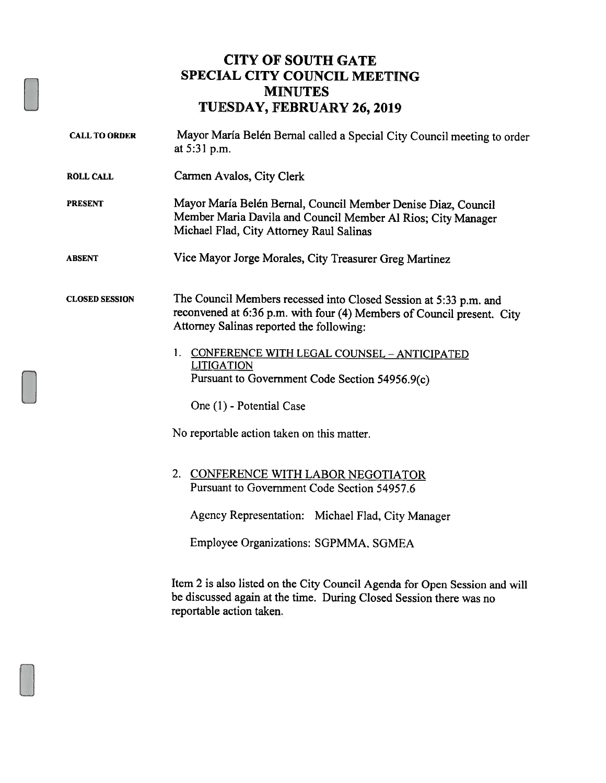## CITY OF SOUTH GATE SPECIAL CITY COUNCIL MEETING MINUTES TUESDAY, FEBRUARY 26, 2019

| <b>CALL TO ORDER</b>  | Mayor María Belén Bernal called a Special City Council meeting to order<br>at 5:31 p.m.                                                                                                 |
|-----------------------|-----------------------------------------------------------------------------------------------------------------------------------------------------------------------------------------|
| <b>ROLL CALL</b>      | Carmen Avalos, City Clerk                                                                                                                                                               |
| <b>PRESENT</b>        | Mayor María Belén Bernal, Council Member Denise Diaz, Council<br>Member Maria Davila and Council Member Al Rios; City Manager<br>Michael Flad, City Attorney Raul Salinas               |
| <b>ABSENT</b>         | Vice Mayor Jorge Morales, City Treasurer Greg Martinez                                                                                                                                  |
| <b>CLOSED SESSION</b> | The Council Members recessed into Closed Session at 5:33 p.m. and<br>reconvened at 6:36 p.m. with four (4) Members of Council present. City<br>Attorney Salinas reported the following: |
|                       | 1. CONFERENCE WITH LEGAL COUNSEL - ANTICIPATED<br><b>LITIGATION</b><br>Pursuant to Government Code Section 54956.9(c)                                                                   |
|                       | One (1) - Potential Case                                                                                                                                                                |
|                       | No reportable action taken on this matter.                                                                                                                                              |
|                       | 2. CONFERENCE WITH LABOR NEGOTIATOR<br>Pursuant to Government Code Section 54957.6                                                                                                      |
|                       | Agency Representation: Michael Flad, City Manager                                                                                                                                       |
|                       | Employee Organizations: SGPMMA, SGMEA                                                                                                                                                   |
|                       | Item 2 is also listed on the City Council Agenda for Open Session and will                                                                                                              |

Item <sup>2</sup> is also listed on the City Council Agenda for Open Session and will be discussed again at the time. During Closed Session there was no reportable action taken.